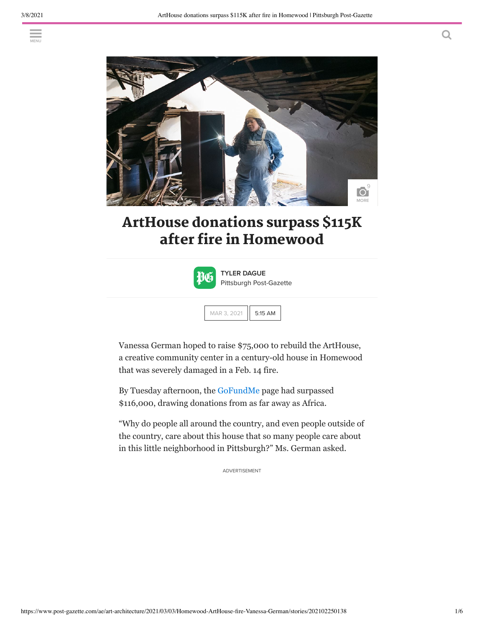

# ArtHouse donations surpass \$115K after fire in Homewood



TYLER DAGUE Pittsburgh Post-Gazette

|  | 5 AM<br>r |
|--|-----------|
|--|-----------|

Vanessa German hoped to raise \$75,000 to rebuild the ArtHouse, a creative community center in a century-old house in Homewood that was severely damaged in a Feb. 14 fire.

By Tuesday afternoon, the GoFundMe page had surpassed \$116,000, drawing donations from as far away as Africa.

"Why do people all around the country, and even people outside of the country, care about this house that so many people care about in this little neighborhood in Pittsburgh?" Ms. German asked.

ADVERTISEMENT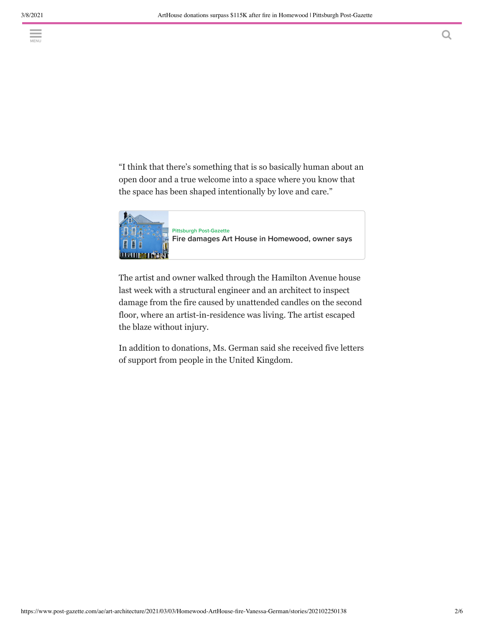"I think that there's something that is so basically human about an open door and a true welcome into a space where you know that the space has been shaped intentionally by love and care."



The artist and owner walked through the Hamilton Avenue house last week with a structural engineer and an architect to inspect damage from the fire caused by unattended candles on the second floor, where an artist-in-residence was living. The artist escaped the blaze without injury.

In addition to donations, Ms. German said she received five letters of support from people in the United Kingdom.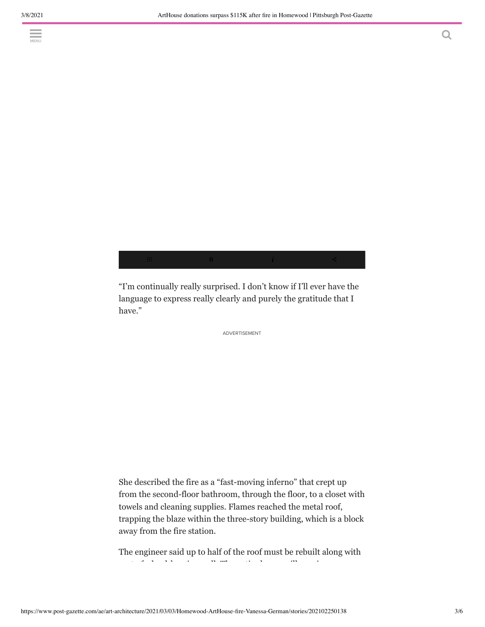$\equiv$  1A/r13t House



"I'm continually really surprised. I don't know if I'll ever have the language to express really clearly and purely the gratitude that I have."

ADVERTISEMENT

She described the fire as a "fast-moving inferno" that crept up from the second-floor bathroom, through the floor, to a closet with towels and cleaning supplies. Flames reached the metal roof, trapping the blaze within the three-story building, which is a block away from the fire station.

The engineer said up to half of the roof must be rebuilt along with  $\frac{1}{2}$ part of a load-bearing wall. The entire house will require new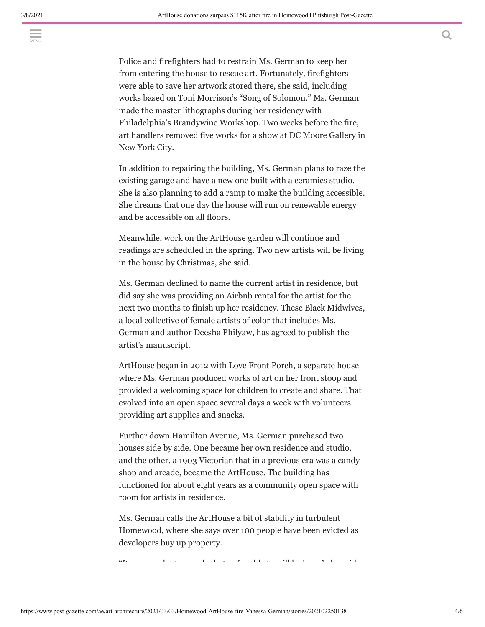$\frac{1}{\sqrt{M_{\text{RNU}}}}$ 

Police and firefighters had to restrain Ms. German to keep her from entering the house to rescue art. Fortunately, firefighters were able to save her artwork stored there, she said, including works based on Toni Morrison's "Song of Solomon." Ms. German made the master lithographs during her residency with Philadelphia's Brandywine Workshop. Two weeks before the fire, art handlers removed five works for a show at DC Moore Gallery in New York City.

In addition to repairing the building, Ms. German plans to raze the existing garage and have a new one built with a ceramics studio. She is also planning to add a ramp to make the building accessible. She dreams that one day the house will run on renewable energy and be accessible on all floors.

Meanwhile, work on the ArtHouse garden will continue and readings are scheduled in the spring. Two new artists will be living in the house by Christmas, she said.

Ms. German declined to name the current artist in residence, but did say she was providing an Airbnb rental for the artist for the next two months to finish up her residency. These Black Midwives, a local collective of female artists of color that includes Ms. German and author Deesha Philyaw, has agreed to publish the artist's manuscript.

ArtHouse began in 2012 with Love Front Porch, a separate house where Ms. German produced works of art on her front stoop and provided a welcoming space for children to create and share. That evolved into an open space several days a week with volunteers providing art supplies and snacks.

Further down Hamilton Avenue, Ms. German purchased two houses side by side. One became her own residence and studio, and the other, a 1903 Victorian that in a previous era was a candy shop and arcade, became the ArtHouse. The building has functioned for about eight years as a community open space with room for artists in residence.

Ms. German calls the ArtHouse a bit of stability in turbulent Homewood, where she says over 100 people have been evicted as developers buy up property.

 $\alpha$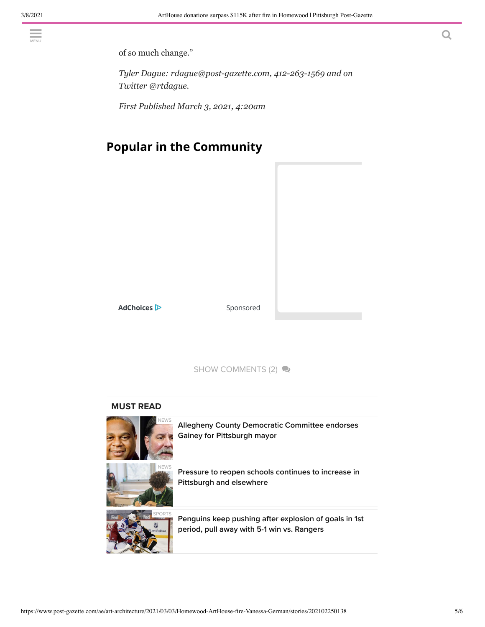of so much change."

*Tyler Dague: rdague@post-gazette.com, 412-263-1569 and on Twitter @rtdague.*

*First Published March 3, 2021, 4:20am*

## **Popular in the Community**

AdChoices<sup>12</sup> Sponsored

SHOW COMMENTS (2)

#### MUST READ